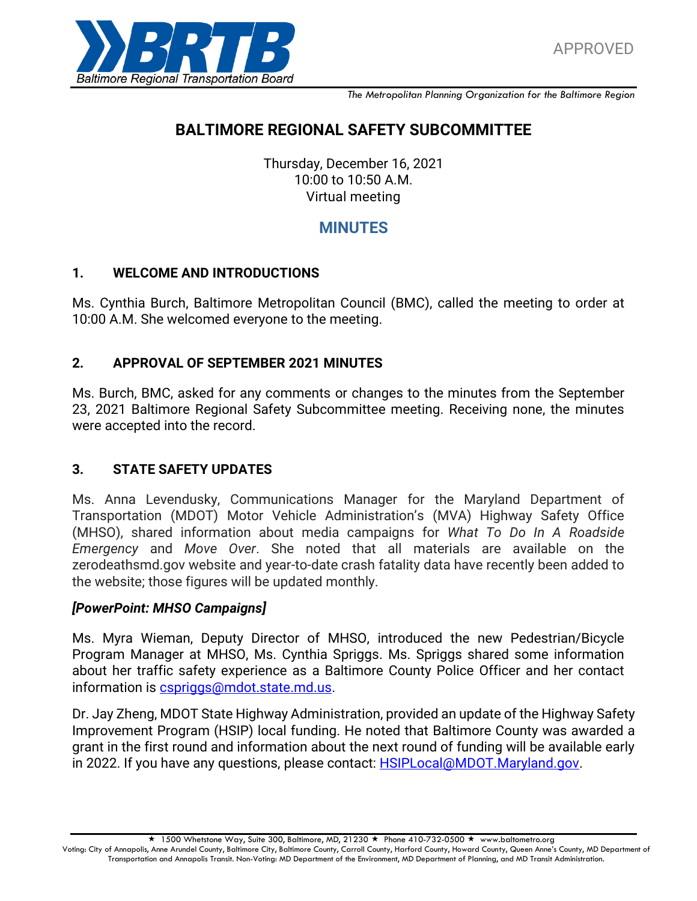

*The Metropolitan Planning Organization for the Baltimore Region*

# **BALTIMORE REGIONAL SAFETY SUBCOMMITTEE**

Thursday, December 16, 2021 10:00 to 10:50 A.M. Virtual meeting

## **MINUTES**

#### **1. WELCOME AND INTRODUCTIONS**

Ms. Cynthia Burch, Baltimore Metropolitan Council (BMC), called the meeting to order at 10:00 A.M. She welcomed everyone to the meeting.

### **2. APPROVAL OF SEPTEMBER 2021 MINUTES**

Ms. Burch, BMC, asked for any comments or changes to the minutes from the September 23, 2021 Baltimore Regional Safety Subcommittee meeting. Receiving none, the minutes were accepted into the record.

### **3. STATE SAFETY UPDATES**

Ms. Anna Levendusky, Communications Manager for the Maryland Department of Transportation (MDOT) Motor Vehicle Administration's (MVA) Highway Safety Office (MHSO), shared information about media campaigns for *What To Do In A Roadside Emergency* and *Move Over*. She noted that all materials are available on the zerodeathsmd.gov website and year-to-date crash fatality data have recently been added to the website; those figures will be updated monthly.

#### *[PowerPoint: MHSO Campaigns]*

Ms. Myra Wieman, Deputy Director of MHSO, introduced the new Pedestrian/Bicycle Program Manager at MHSO, Ms. Cynthia Spriggs. Ms. Spriggs shared some information about her traffic safety experience as a Baltimore County Police Officer and her contact information is [cspriggs@mdot.state.md.us.](mailto:cspriggs@mdot.state.md.us)

Dr. Jay Zheng, MDOT State Highway Administration, provided an update of the Highway Safety Improvement Program (HSIP) local funding. He noted that Baltimore County was awarded a grant in the first round and information about the next round of funding will be available early in 2022. If you have any questions, please contact: **HSIPLocal@MDOT.Maryland.gov.** 

 $\star$  1500 Whetstone Way, Suite 300, Baltimore, MD, 21230  $\star$  Phone 410-732-0500  $\star$  www.baltometro.org Voting: City of Annapolis, Anne Arundel County, Baltimore City, Baltimore County, Carroll County, Harford County, Howard County, Queen Anne's County, MD Department of Transportation and Annapolis Transit. Non-Voting: MD Department of the Environment, MD Department of Planning, and MD Transit Administration.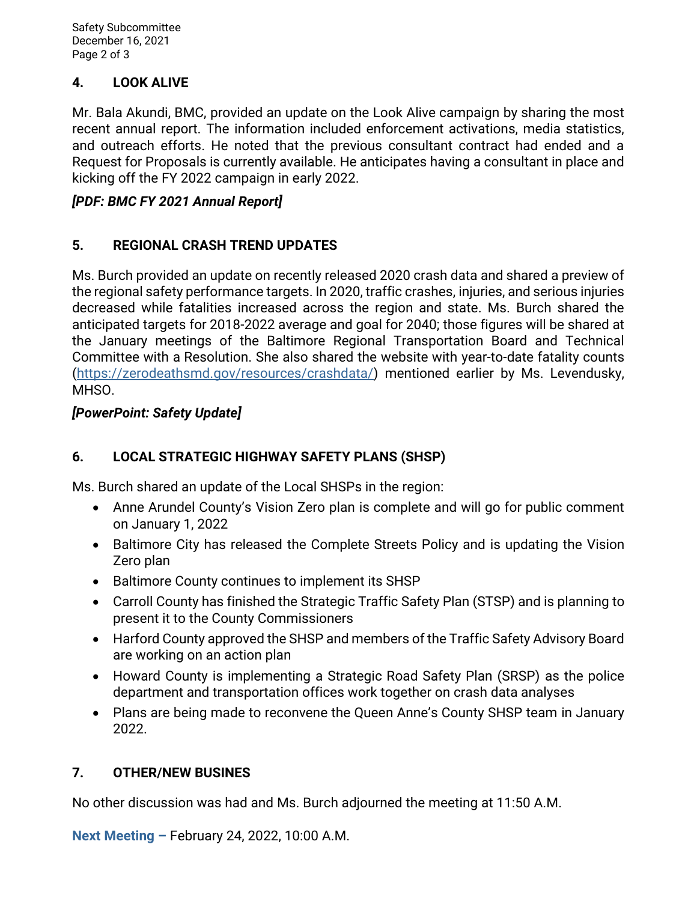Safety Subcommittee December 16, 2021 Page 2 of 3

## **4. LOOK ALIVE**

Mr. Bala Akundi, BMC, provided an update on the Look Alive campaign by sharing the most recent annual report. The information included enforcement activations, media statistics, and outreach efforts. He noted that the previous consultant contract had ended and a Request for Proposals is currently available. He anticipates having a consultant in place and kicking off the FY 2022 campaign in early 2022.

### *[PDF: BMC FY 2021 Annual Report]*

### **5. REGIONAL CRASH TREND UPDATES**

Ms. Burch provided an update on recently released 2020 crash data and shared a preview of the regional safety performance targets. In 2020, traffic crashes, injuries, and serious injuries decreased while fatalities increased across the region and state. Ms. Burch shared the anticipated targets for 2018-2022 average and goal for 2040; those figures will be shared at the January meetings of the Baltimore Regional Transportation Board and Technical Committee with a Resolution. She also shared the website with year-to-date fatality counts [\(https://zerodeathsmd.gov/resources/crashdata/\)](https://zerodeathsmd.gov/resources/crashdata/) mentioned earlier by Ms. Levendusky, MHSO.

### *[PowerPoint: Safety Update]*

## **6. LOCAL STRATEGIC HIGHWAY SAFETY PLANS (SHSP)**

Ms. Burch shared an update of the Local SHSPs in the region:

- Anne Arundel County's Vision Zero plan is complete and will go for public comment on January 1, 2022
- Baltimore City has released the Complete Streets Policy and is updating the Vision Zero plan
- Baltimore County continues to implement its SHSP
- Carroll County has finished the Strategic Traffic Safety Plan (STSP) and is planning to present it to the County Commissioners
- Harford County approved the SHSP and members of the Traffic Safety Advisory Board are working on an action plan
- Howard County is implementing a Strategic Road Safety Plan (SRSP) as the police department and transportation offices work together on crash data analyses
- Plans are being made to reconvene the Queen Anne's County SHSP team in January 2022.

## **7. OTHER/NEW BUSINES**

No other discussion was had and Ms. Burch adjourned the meeting at 11:50 A.M.

**Next Meeting –** February 24, 2022, 10:00 A.M.